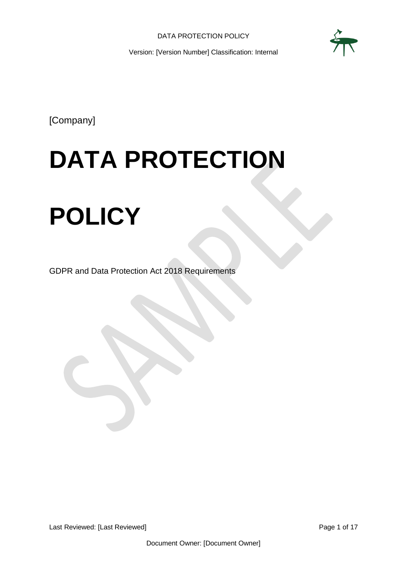

[Company]

# **DATA PROTECTION**

# **POLICY**

GDPR and Data Protection Act 2018 Requirements

Last Reviewed: [Last Reviewed] example 2012 12:33 and 2012 12:34 and 2012 12:34 and 2012 12:34 and 2012 12:34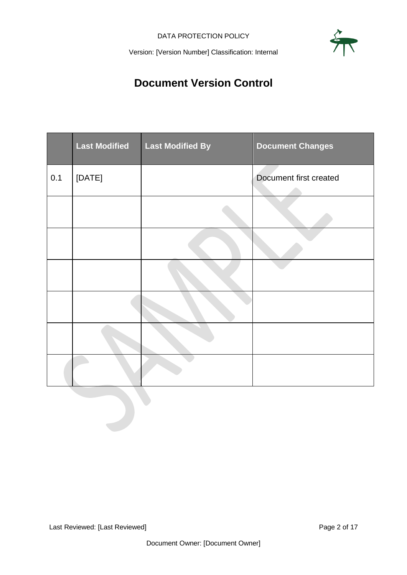

# **Document Version Control**

<span id="page-1-0"></span>

|     | <b>Last Modified</b> | <b>Last Modified By</b> | <b>Document Changes</b> |
|-----|----------------------|-------------------------|-------------------------|
| 0.1 | [DATE]               |                         | Document first created  |
|     |                      |                         |                         |
|     |                      |                         |                         |
|     |                      |                         |                         |
|     |                      |                         |                         |
|     |                      |                         |                         |
|     |                      |                         |                         |
|     |                      |                         |                         |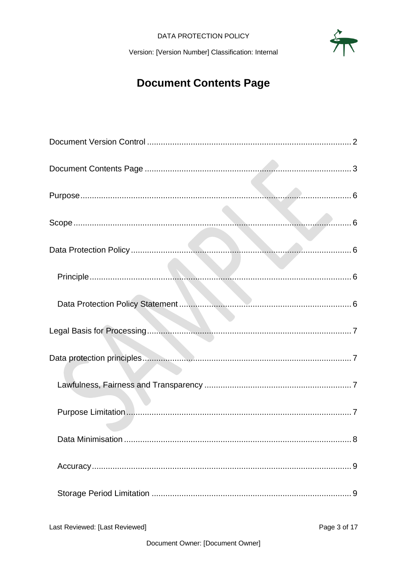

# **Document Contents Page**

<span id="page-2-0"></span>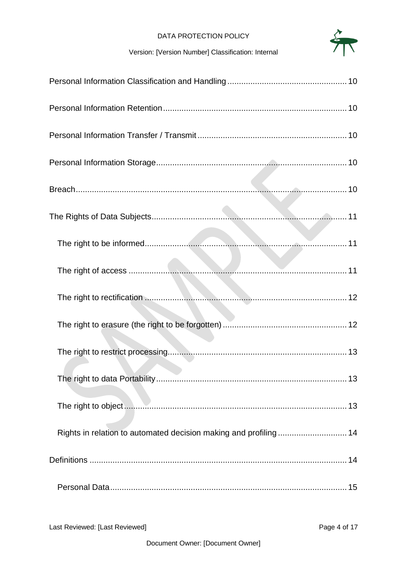

#### Version: [Version Number] Classification: Internal

| Rights in relation to automated decision making and profiling 14 |
|------------------------------------------------------------------|
|                                                                  |
|                                                                  |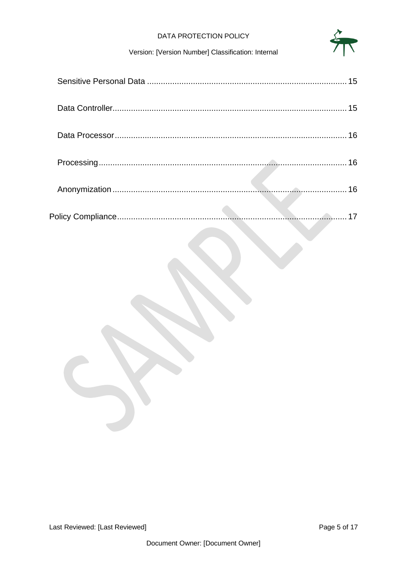

#### Version: [Version Number] Classification: Internal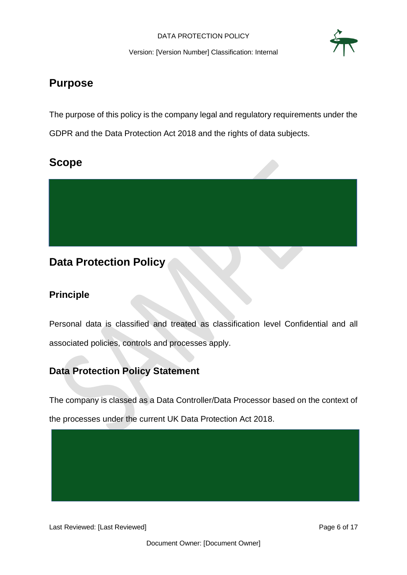

Version: [Version Number] Classification: Internal

## <span id="page-5-0"></span>**Purpose**

The purpose of this policy is the company legal and regulatory requirements under the

GDPR and the Data Protection Act 2018 and the rights of data subjects.

## <span id="page-5-1"></span>**Scope**

# <span id="page-5-2"></span>**Data Protection Policy**

#### <span id="page-5-3"></span>**Principle**

Personal data is classified and treated as classification level Confidential and all associated policies, controls and processes apply.

#### <span id="page-5-4"></span>**Data Protection Policy Statement**

The company is classed as a Data Controller/Data Processor based on the context of the processes under the current UK Data Protection Act 2018.

Last Reviewed: [Last Reviewed] example 2014 and the Page 6 of 17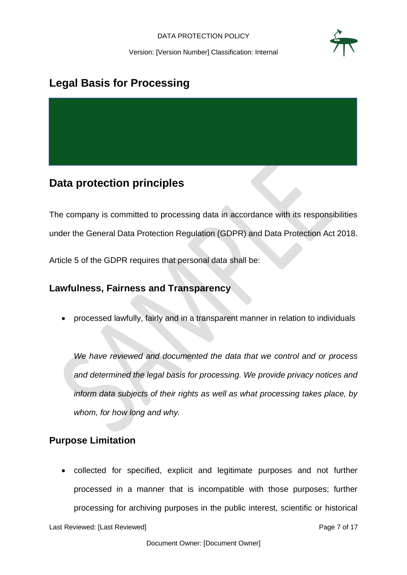

# <span id="page-6-0"></span>**Legal Basis for Processing**

## <span id="page-6-1"></span>**Data protection principles**

The company is committed to processing data in accordance with its responsibilities under the General Data Protection Regulation (GDPR) and Data Protection Act 2018.

Article 5 of the GDPR requires that personal data shall be:

#### <span id="page-6-2"></span>**Lawfulness, Fairness and Transparency**

• processed lawfully, fairly and in a transparent manner in relation to individuals

*We have reviewed and documented the data that we control and or process and determined the legal basis for processing. We provide privacy notices and inform data subjects of their rights as well as what processing takes place, by whom, for how long and why.*

#### <span id="page-6-3"></span>**Purpose Limitation**

• collected for specified, explicit and legitimate purposes and not further processed in a manner that is incompatible with those purposes; further processing for archiving purposes in the public interest, scientific or historical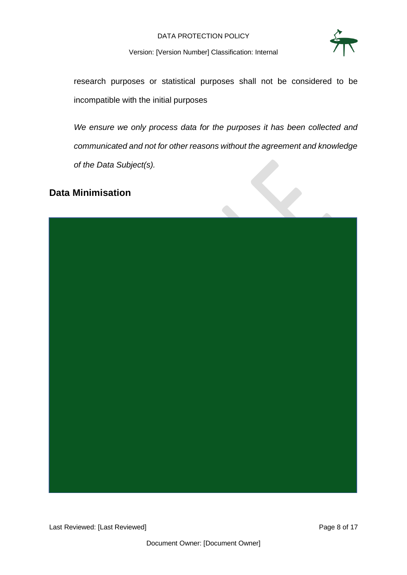

research purposes or statistical purposes shall not be considered to be incompatible with the initial purposes

*We ensure we only process data for the purposes it has been collected and communicated and not for other reasons without the agreement and knowledge of the Data Subject(s).*

#### <span id="page-7-0"></span>**Data Minimisation**

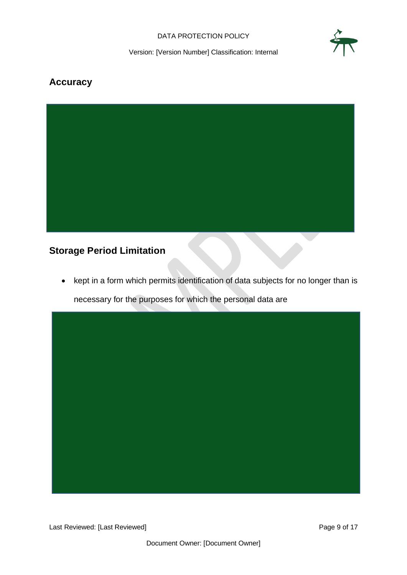

Version: [Version Number] Classification: Internal

#### <span id="page-8-0"></span>**Accuracy**



### <span id="page-8-1"></span>**Storage Period Limitation**

• kept in a form which permits identification of data subjects for no longer than is

necessary for the purposes for which the personal data are

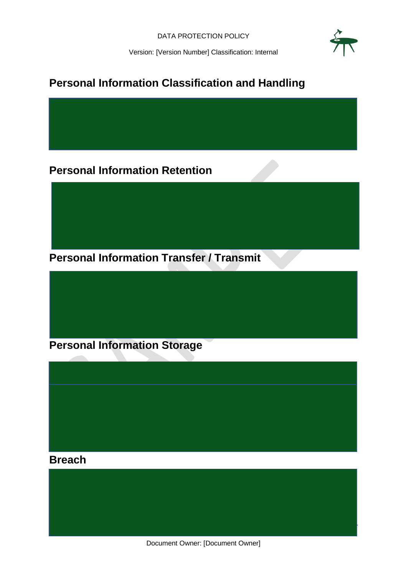Version: [Version Number] Classification: Internal



# <span id="page-9-0"></span>**Personal Information Classification and Handling**

<span id="page-9-1"></span>**Personal Information Retention**

<span id="page-9-2"></span>**Personal Information Transfer / Transmit**

<span id="page-9-3"></span>**Personal Information Storage**

<span id="page-9-4"></span>**Breach**

Document Owner: [Document Owner]

Last Reviewed: [Last Reviewed] Page 10 of 17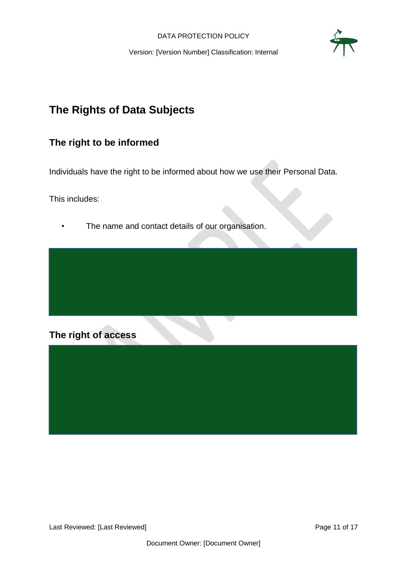

# <span id="page-10-0"></span>**The Rights of Data Subjects**

## <span id="page-10-1"></span>**The right to be informed**

Individuals have the right to be informed about how we use their Personal Data.

This includes:

• The name and contact details of our organisation.

## <span id="page-10-2"></span>**The right of access**

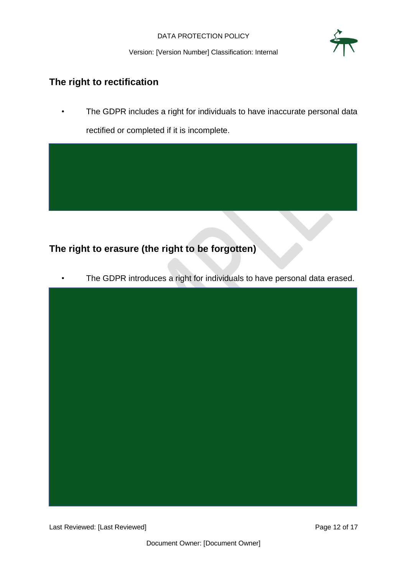

## <span id="page-11-0"></span>**The right to rectification**

The GDPR includes a right for individuals to have inaccurate personal data rectified or completed if it is incomplete.

## <span id="page-11-1"></span>**The right to erasure (the right to be forgotten)**

The GDPR introduces a right for individuals to have personal data erased.



Last Reviewed: [Last Reviewed] extending the state of the Page 12 of 17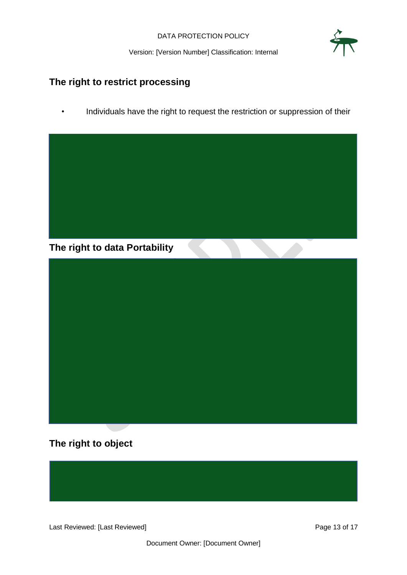

Version: [Version Number] Classification: Internal

## <span id="page-12-0"></span>**The right to restrict processing**

• Individuals have the right to request the restriction or suppression of their



**The right to data Portability**

<span id="page-12-1"></span>

## <span id="page-12-2"></span>**The right to object**

Last Reviewed: [Last Reviewed] extending the state of the Page 13 of 17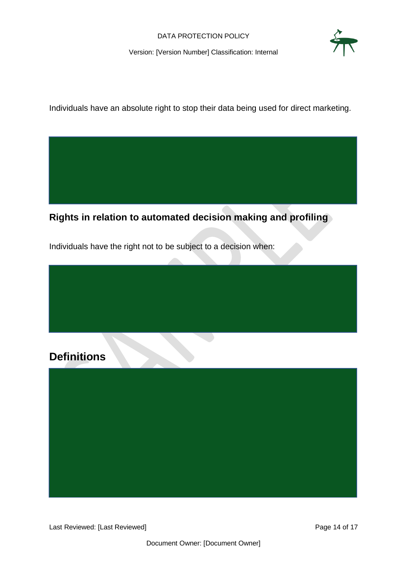

Version: [Version Number] Classification: Internal

Individuals have an absolute right to stop their data being used for direct marketing.

<span id="page-13-0"></span>**Rights in relation to automated decision making and profiling** 

Individuals have the right not to be subject to a decision when:

## <span id="page-13-1"></span>**Definitions**



Last Reviewed: [Last Reviewed] extending the state of the Page 14 of 17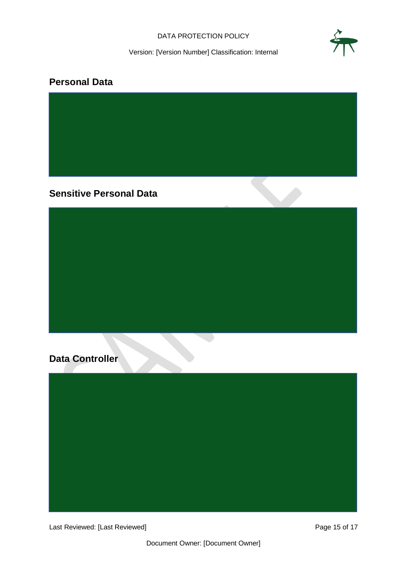

Version: [Version Number] Classification: Internal

#### <span id="page-14-0"></span>**Personal Data**

## <span id="page-14-1"></span>**Sensitive Personal Data**

<span id="page-14-2"></span>**Data Controller**

Last Reviewed: [Last Reviewed] extending the state of the Page 15 of 17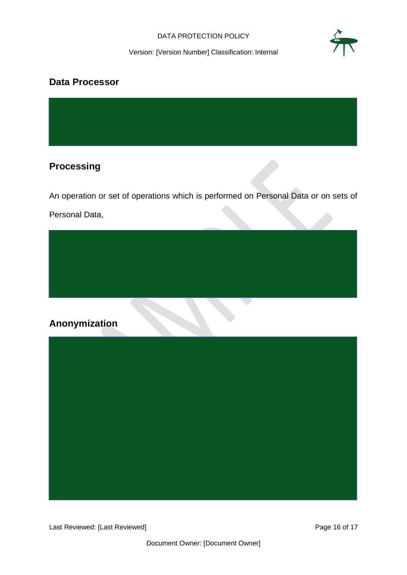

Version: [Version Number] Classification: Internal

#### <span id="page-15-0"></span>**Data Processor**

## <span id="page-15-1"></span>**Processing**

An operation or set of operations which is performed on Personal Data or on sets of Personal Data,

#### <span id="page-15-2"></span>**Anonymization**

Last Reviewed: [Last Reviewed] extending the state of the Page 16 of 17